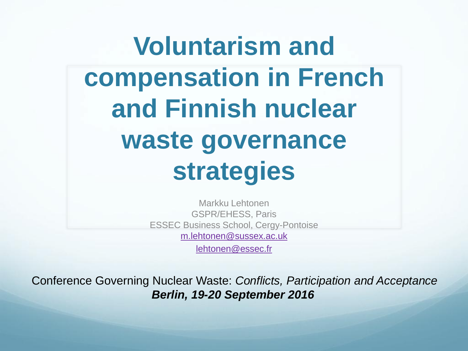## **Voluntarism and compensation in French and Finnish nuclear waste governance strategies**

Markku Lehtonen GSPR/EHESS, Paris ESSEC Business School, Cergy-Pontoise [m.lehtonen@sussex.ac.uk](mailto:m.lehtonen@sussex.ac.uk)

[lehtonen@essec.fr](mailto:lehtonen@essec.fr)

Conference Governing Nuclear Waste: *Conflicts, Participation and Acceptance Berlin, 19-20 September 2016*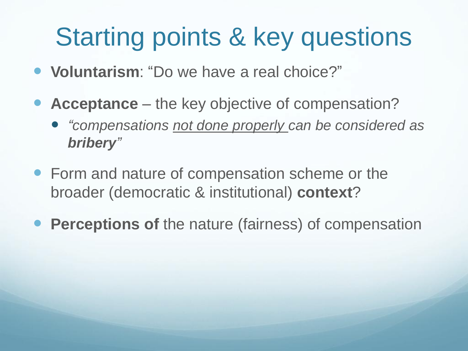## Starting points & key questions

- **Voluntarism**: "Do we have a real choice?"
- **Acceptance** the key objective of compensation?
	- *"compensations not done properly can be considered as bribery"*
- Form and nature of compensation scheme or the broader (democratic & institutional) **context**?
- **Perceptions of** the nature (fairness) of compensation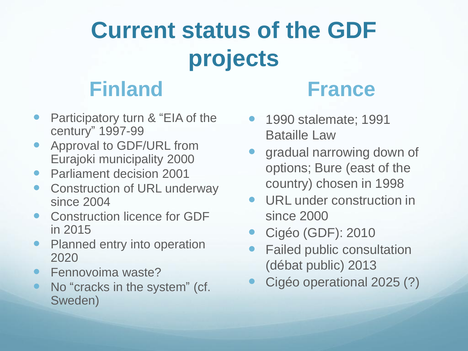## **Current status of the GDF projects**

### **Finland**

- Participatory turn & "EIA of the century" 1997-99
- Approval to GDF/URL from Eurajoki municipality 2000
- Parliament decision 2001
- Construction of URL underway since 2004
- Construction licence for GDF in 2015
- Planned entry into operation 2020
- Fennovoima waste?
- No "cracks in the system" (cf. Sweden)

#### **France**

- 1990 stalemate; 1991 Bataille Law
- gradual narrowing down of options; Bure (east of the country) chosen in 1998
- URL under construction in since 2000
- Cigéo (GDF): 2010
- Failed public consultation (débat public) 2013
- Cigéo operational 2025 (?)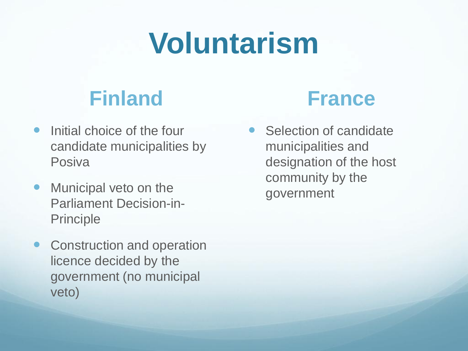# **Voluntarism**

#### **Finland**

- Initial choice of the four candidate municipalities by **Posiva**
- Municipal veto on the Parliament Decision-in-Principle
- Construction and operation licence decided by the government (no municipal veto)



 Selection of candidate municipalities and designation of the host community by the government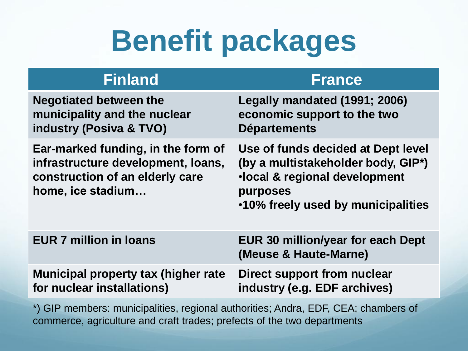## **Benefit packages**

| <b>Finland</b>                                                                                                                   | <b>France</b>                                                                                                                                                            |
|----------------------------------------------------------------------------------------------------------------------------------|--------------------------------------------------------------------------------------------------------------------------------------------------------------------------|
| <b>Negotiated between the</b><br>municipality and the nuclear<br>industry (Posiva & TVO)                                         | Legally mandated (1991; 2006)<br>economic support to the two<br><b>Départements</b>                                                                                      |
| Ear-marked funding, in the form of<br>infrastructure development, loans,<br>construction of an elderly care<br>home, ice stadium | Use of funds decided at Dept level<br>(by a multistakeholder body, GIP <sup>*</sup> )<br>·local & regional development<br>purposes<br>.10% freely used by municipalities |
| <b>EUR 7 million in loans</b>                                                                                                    | <b>EUR 30 million/year for each Dept</b><br>(Meuse & Haute-Marne)                                                                                                        |
| <b>Municipal property tax (higher rate)</b><br>for nuclear installations)                                                        | Direct support from nuclear<br>industry (e.g. EDF archives)                                                                                                              |

\*) GIP members: municipalities, regional authorities; Andra, EDF, CEA; chambers of commerce, agriculture and craft trades; prefects of the two departments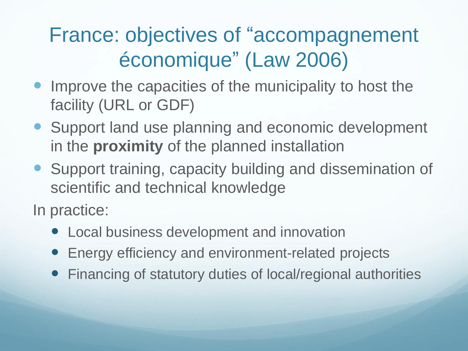### France: objectives of "accompagnement économique" (Law 2006)

- Improve the capacities of the municipality to host the facility (URL or GDF)
- Support land use planning and economic development in the **proximity** of the planned installation
- Support training, capacity building and dissemination of scientific and technical knowledge

In practice:

- Local business development and innovation
- Energy efficiency and environment-related projects
- Financing of statutory duties of local/regional authorities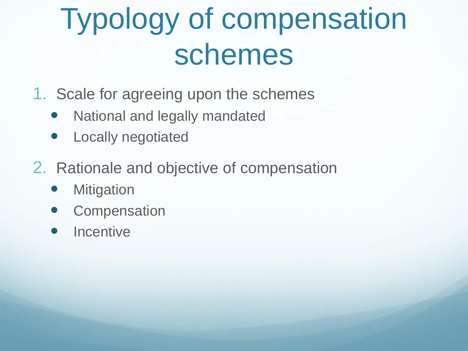## Typology of compensation schemes

- 1. Scale for agreeing upon the schemes
	- National and legally mandated
	- Locally negotiated
- 2. Rationale and objective of compensation
	- **Mitigation**
	- **Compensation**
	- **Incentive**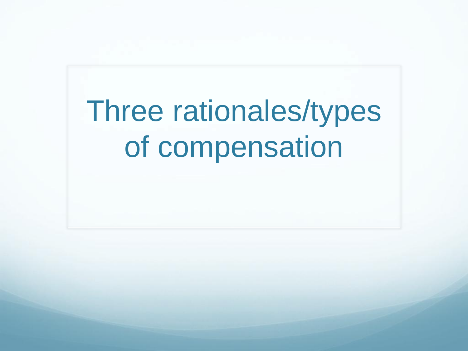# Three rationales/types of compensation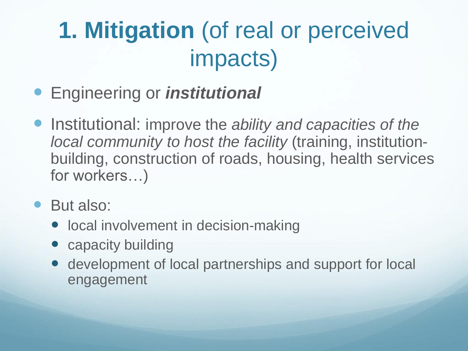## **1. Mitigation** (of real or perceived impacts)

- Engineering or *institutional*
- Institutional: improve the *ability and capacities of the local community to host the facility* (training, institutionbuilding, construction of roads, housing, health services for workers…)
- But also:
	- local involvement in decision-making
	- capacity building
	- development of local partnerships and support for local engagement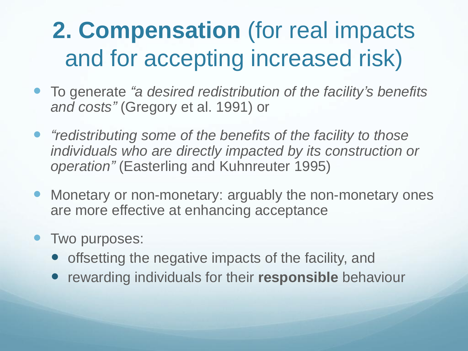## **2. Compensation** (for real impacts and for accepting increased risk)

- To generate *"a desired redistribution of the facility's benefits and costs"* (Gregory et al. 1991) or
- *"redistributing some of the benefits of the facility to those individuals who are directly impacted by its construction or operation"* (Easterling and Kuhnreuter 1995)
- Monetary or non-monetary: arguably the non-monetary ones are more effective at enhancing acceptance
- Two purposes:
	- offsetting the negative impacts of the facility, and
	- **•** rewarding individuals for their **responsible** behaviour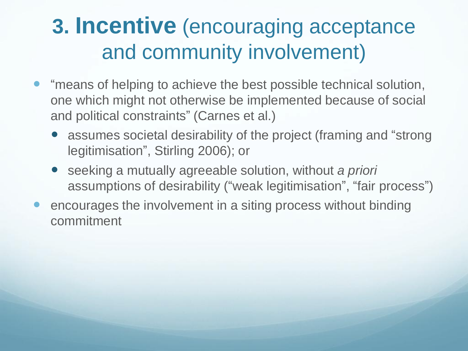### **3. Incentive** (encouraging acceptance and community involvement)

- "means of helping to achieve the best possible technical solution, one which might not otherwise be implemented because of social and political constraints" (Carnes et al.)
	- assumes societal desirability of the project (framing and "strong" legitimisation", Stirling 2006); or
	- seeking a mutually agreeable solution, without *a priori*  assumptions of desirability ("weak legitimisation" , "fair process")
- encourages the involvement in a siting process without binding commitment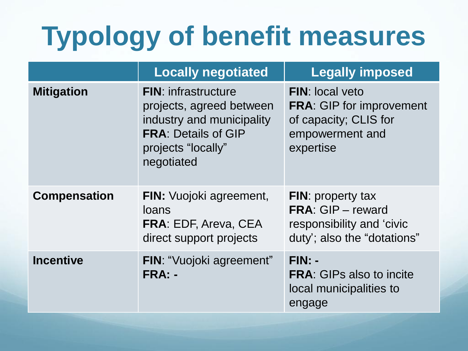## **Typology of benefit measures**

|                     | <b>Locally negotiated</b>                                                                                                                             | <b>Legally imposed</b>                                                                                             |
|---------------------|-------------------------------------------------------------------------------------------------------------------------------------------------------|--------------------------------------------------------------------------------------------------------------------|
| <b>Mitigation</b>   | <b>FIN:</b> infrastructure<br>projects, agreed between<br>industry and municipality<br><b>FRA: Details of GIP</b><br>projects "locally"<br>negotiated | <b>FIN: local veto</b><br><b>FRA: GIP for improvement</b><br>of capacity; CLIS for<br>empowerment and<br>expertise |
| <b>Compensation</b> | <b>FIN:</b> Vuojoki agreement,<br>loans<br><b>FRA: EDF, Areva, CEA</b><br>direct support projects                                                     | <b>FIN:</b> property tax<br><b>FRA: GIP - reward</b><br>responsibility and 'civic<br>duty'; also the "dotations"   |
| <b>Incentive</b>    | <b>FIN: "Vuojoki agreement"</b><br>FRA: -                                                                                                             | $FIN: -$<br><b>FRA:</b> GIPs also to incite<br>local municipalities to<br>engage                                   |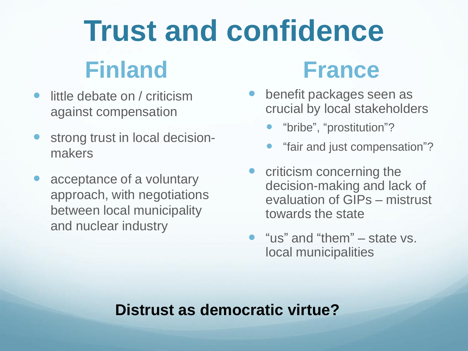## **Trust and confidence Finland**

- little debate on / criticism against compensation
- strong trust in local decisionmakers
- acceptance of a voluntary approach, with negotiations between local municipality and nuclear industry

### **France**

- benefit packages seen as crucial by local stakeholders
	- "bribe", "prostitution"?
	- "fair and just compensation"?
- criticism concerning the decision-making and lack of evaluation of GIPs – mistrust towards the state
- "us" and "them" state vs. local municipalities

#### **Distrust as democratic virtue?**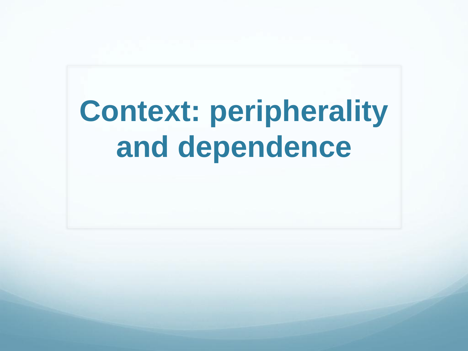# **Context: peripherality and dependence**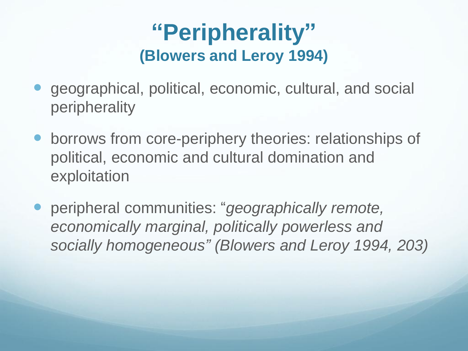#### **"Peripherality" (Blowers and Leroy 1994)**

- geographical, political, economic, cultural, and social peripherality
- borrows from core-periphery theories: relationships of political, economic and cultural domination and exploitation
- peripheral communities: "*geographically remote, economically marginal, politically powerless and socially homogeneous" (Blowers and Leroy 1994, 203)*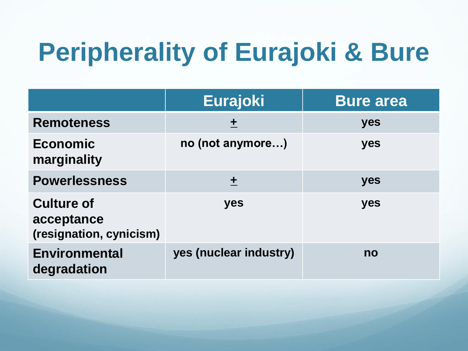## **Peripherality of Eurajoki & Bure**

|                                                            | <b>Eurajoki</b>        | <b>Bure area</b> |
|------------------------------------------------------------|------------------------|------------------|
| <b>Remoteness</b>                                          | 土                      | yes              |
| <b>Economic</b><br>marginality                             | no (not anymore)       | yes              |
| <b>Powerlessness</b>                                       | 土                      | yes              |
| <b>Culture of</b><br>acceptance<br>(resignation, cynicism) | yes                    | yes              |
| <b>Environmental</b><br>degradation                        | yes (nuclear industry) | no               |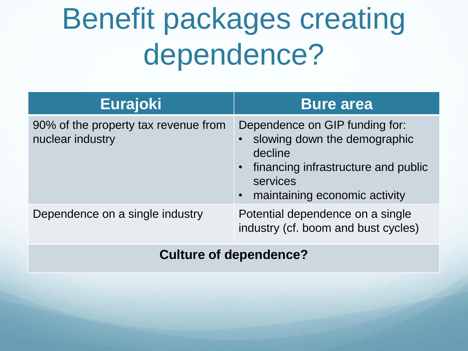# Benefit packages creating dependence?

| <b>Eurajoki</b>                                          | <b>Bure area</b>                                                                                                                                                    |
|----------------------------------------------------------|---------------------------------------------------------------------------------------------------------------------------------------------------------------------|
| 90% of the property tax revenue from<br>nuclear industry | Dependence on GIP funding for:<br>• slowing down the demographic<br>decline<br>• financing infrastructure and public<br>services<br>• maintaining economic activity |
| Dependence on a single industry                          | Potential dependence on a single<br>industry (cf. boom and bust cycles)                                                                                             |

#### **Culture of dependence?**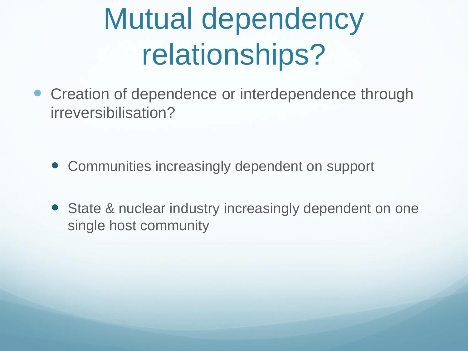# Mutual dependency relationships?

• Creation of dependence or interdependence through irreversibilisation?

- Communities increasingly dependent on support
- State & nuclear industry increasingly dependent on one single host community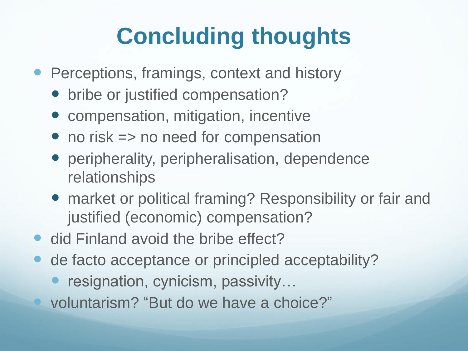## **Concluding thoughts**

- **Perceptions, framings, context and history** 
	- bribe or justified compensation?
	- compensation, mitigation, incentive
	- no risk => no need for compensation
	- peripherality, peripheralisation, dependence relationships
	- market or political framing? Responsibility or fair and justified (economic) compensation?
- did Finland avoid the bribe effect?
- de facto acceptance or principled acceptability?
	- resignation, cynicism, passivity…
	- voluntarism? "But do we have a choice?"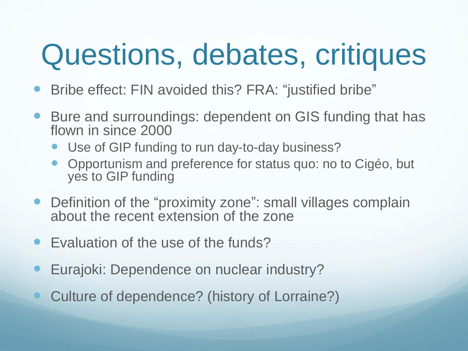## Questions, debates, critiques

- Bribe effect: FIN avoided this? FRA: "justified bribe"
- Bure and surroundings: dependent on GIS funding that has flown in since 2000
	- Use of GIP funding to run day-to-day business?
	- Opportunism and preference for status quo: no to Cigéo, but yes to GIP funding
- Definition of the "proximity zone": small villages complain about the recent extension of the zone
- Evaluation of the use of the funds?
- Eurajoki: Dependence on nuclear industry?
- Culture of dependence? (history of Lorraine?)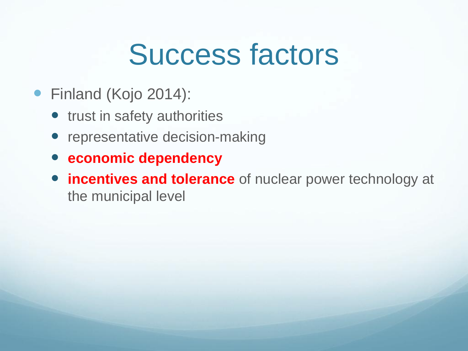## Success factors

- Finland (Kojo 2014):
	- trust in safety authorities
	- representative decision-making
	- **economic dependency**
	- **incentives and tolerance** of nuclear power technology at the municipal level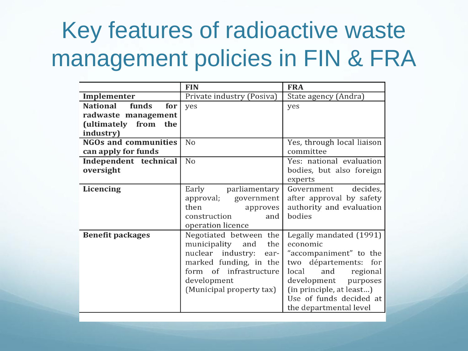### Key features of radioactive waste management policies in FIN & FRA

|                                 | <b>FIN</b>                | <b>FRA</b>                 |
|---------------------------------|---------------------------|----------------------------|
| Implementer                     | Private industry (Posiva) | State agency (Andra)       |
| <b>National</b><br>funds<br>for | yes                       | yes                        |
| radwaste management             |                           |                            |
| (ultimately from<br>the         |                           |                            |
| industry)                       |                           |                            |
| <b>NGOs and communities</b>     | No                        | Yes, through local liaison |
| can apply for funds             |                           | committee                  |
| Independent technical           | No                        | Yes: national evaluation   |
| oversight                       |                           | bodies, but also foreign   |
|                                 |                           | experts                    |
| Licencing                       | Early<br>parliamentary    | decides,<br>Government     |
|                                 | approval;<br>government   | after approval by safety   |
|                                 | then<br>approves          | authority and evaluation   |
|                                 | construction<br>and       | bodies                     |
|                                 | operation licence         |                            |
| <b>Benefit packages</b>         | Negotiated between the    | Legally mandated (1991)    |
|                                 | municipality and<br>the   | economic                   |
|                                 | nuclear industry:<br>ear- | "accompaniment" to the     |
|                                 | marked funding, in the    | two départements:<br>for   |
|                                 | form of infrastructure    | and<br>local<br>regional   |
|                                 | development               | development<br>purposes    |
|                                 | (Municipal property tax)  | (in principle, at least)   |
|                                 |                           | Use of funds decided at    |
|                                 |                           | the departmental level     |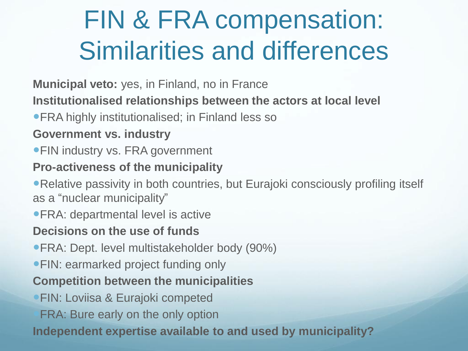## FIN & FRA compensation: Similarities and differences

**Municipal veto:** yes, in Finland, no in France

**Institutionalised relationships between the actors at local level**

**• FRA highly institutionalised; in Finland less so** 

#### **Government vs. industry**

**• FIN industry vs. FRA government** 

#### **Pro-activeness of the municipality**

Relative passivity in both countries, but Eurajoki consciously profiling itself as a "nuclear municipality"

FRA: departmental level is active

#### **Decisions on the use of funds**

- **FRA: Dept. level multistakeholder body (90%)**
- **FIN: earmarked project funding only**

#### **Competition between the municipalities**

- **FIN: Loviisa & Eurajoki competed**
- FRA: Bure early on the only option

**Independent expertise available to and used by municipality?**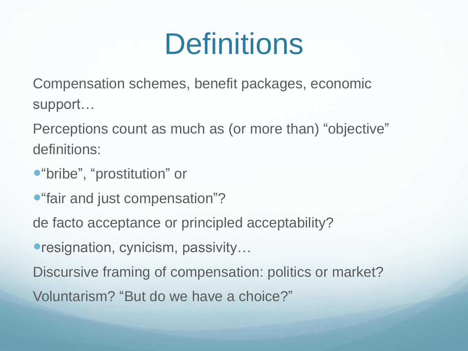## **Definitions**

Compensation schemes, benefit packages, economic support…

Perceptions count as much as (or more than) "objective" definitions:

- "bribe" , "prostitution" or
- **•** "fair and just compensation"?

de facto acceptance or principled acceptability?

● resignation, cynicism, passivity...

Discursive framing of compensation: politics or market?

Voluntarism? "But do we have a choice?"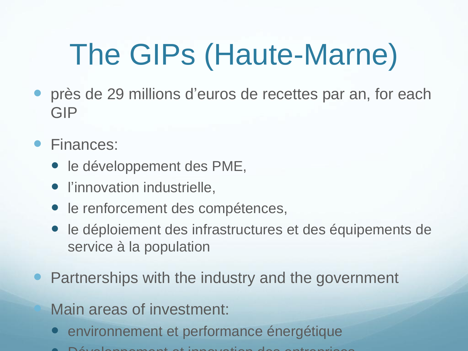# The GIPs (Haute-Marne)

- près de 29 millions d'euros de recettes par an, for each GIP
- Finances:
	- le développement des PME,
	- l'innovation industrielle,
	- le renforcement des compétences,
	- le déploiement des infrastructures et des équipements de service à la population
- Partnerships with the industry and the government

Main areas of investment:

- environnement et performance énergétique
- Développement et innovation des entrepris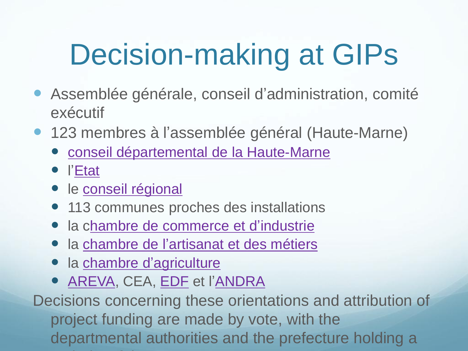# Decision-making at GIPs

- Assemblée générale, conseil d'administration, comité exécutif
- 123 membres à l'assemblée général (Haute-Marne)
	- [conseil départemental de la Haute-Marne](http://www.haute-marne.fr)
	- l['Etat](http://www.haute-marne.gouv.fr/Services-de-l-Etat)
	- · le [conseil régional](http://www.alsacechampagneardennelorraine.eu/)
	- 113 communes proches des installations
	- la c[hambre de commerce et d'industrie](http://www.haute-marne.cci.fr/)
	- la [chambre de l'artisanat et des métiers](http://www.cma-haute-marne.fr)
	- la [chambre d'agriculture](http://www.haute-marne.chambagri.fr/kit/index.php)
	- **[AREVA](http://areva.fr), CEA, [EDF](http://edf.fr) et l['ANDRA](http://www.andra.fr)**

Decisions concerning these orientations and attribution of project funding are made by vote, with the departmental authorities and the prefecture holding a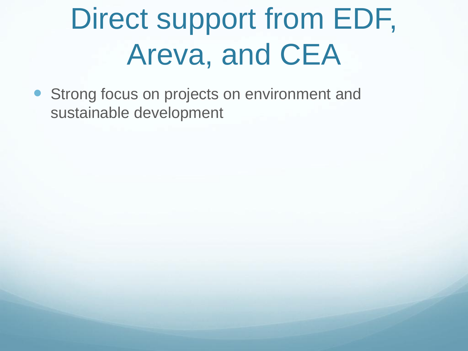# Direct support from EDF, Areva, and CEA

**• Strong focus on projects on environment and** sustainable development